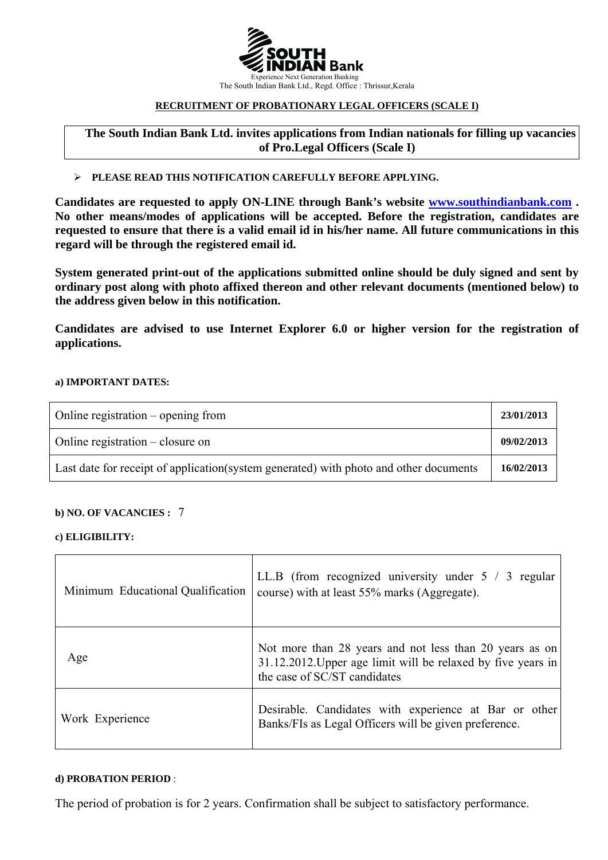

#### **RECRUITMENT OF PROBATIONARY LEGAL OFFICERS (SCALE I)**

**The South Indian Bank Ltd. invites applications from Indian nationals for filling up vacancies of Pro.Legal Officers (Scale I)**

#### ¾ **PLEASE READ THIS NOTIFICATION CAREFULLY BEFORE APPLYING.**

**Candidates are requested to apply ON-LINE through Bank's website [www.southindianbank.com](http://www.southindianbank.com/) . No other means/modes of applications will be accepted. Before the registration, candidates are requested to ensure that there is a valid email id in his/her name. All future communications in this regard will be through the registered email id.** 

**System generated print-out of the applications submitted online should be duly signed and sent by ordinary post along with photo affixed thereon and other relevant documents (mentioned below) to the address given below in this notification.** 

**Candidates are advised to use Internet Explorer 6.0 or higher version for the registration of applications.** 

#### **a) IMPORTANT DATES:**

| Online registration $-$ opening from                                                   | 23/01/2013 |
|----------------------------------------------------------------------------------------|------------|
| Online registration $-$ closure on                                                     | 09/02/2013 |
| Last date for receipt of application (system generated) with photo and other documents | 16/02/2013 |

#### **b) NO. OF VACANCIES :** 7

#### **c) ELIGIBILITY:**

| Minimum Educational Qualification | LL.B (from recognized university under $5 / 3$ regular<br>course) with at least 55% marks (Aggregate).                                                  |
|-----------------------------------|---------------------------------------------------------------------------------------------------------------------------------------------------------|
| Age                               | Not more than 28 years and not less than 20 years as on<br>31.12.2012. Upper age limit will be relaxed by five years in<br>the case of SC/ST candidates |
| Work Experience                   | Desirable. Candidates with experience at Bar or other<br>Banks/FIs as Legal Officers will be given preference.                                          |

#### **d) PROBATION PERIOD** :

The period of probation is for 2 years. Confirmation shall be subject to satisfactory performance.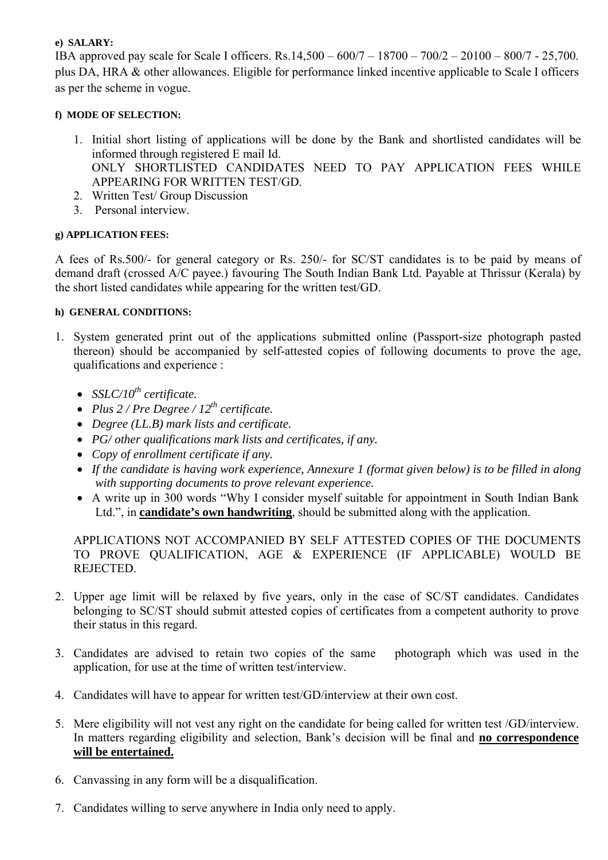#### **e) SALARY:**

IBA approved pay scale for Scale I officers. Rs.14,500 – 600/7 – 18700 – 700/2 – 20100 – 800/7 - 25,700. plus DA, HRA & other allowances. Eligible for performance linked incentive applicable to Scale I officers as per the scheme in vogue.

### **f) MODE OF SELECTION:**

- 1. Initial short listing of applications will be done by the Bank and shortlisted candidates will be informed through registered E mail Id. ONLY SHORTLISTED CANDIDATES NEED TO PAY APPLICATION FEES WHILE APPEARING FOR WRITTEN TEST/GD.
- 2. Written Test/ Group Discussion
- 3. Personal interview.

## **g) APPLICATION FEES:**

A fees of Rs.500/- for general category or Rs. 250/- for SC/ST candidates is to be paid by means of demand draft (crossed A/C payee.) favouring The South Indian Bank Ltd. Payable at Thrissur (Kerala) by the short listed candidates while appearing for the written test/GD.

## **h) GENERAL CONDITIONS:**

- 1. System generated print out of the applications submitted online (Passport-size photograph pasted thereon) should be accompanied by self-attested copies of following documents to prove the age, qualifications and experience :
	- $SSLC/10^{th}$  certificate.
	- *Plus*  $2$  */ Pre Degree /*  $12^{th}$  *certificate.*
	- *Degree (LL.B) mark lists and certificate.*
	- *PG/ other qualifications mark lists and certificates, if any.*
	- *Copy of enrollment certificate if any.*
	- *If the candidate is having work experience, Annexure 1 (format given below) is to be filled in along with supporting documents to prove relevant experience.*
	- A write up in 300 words "Why I consider myself suitable for appointment in South Indian Bank Ltd.", in **candidate's own handwriting**, should be submitted along with the application.

APPLICATIONS NOT ACCOMPANIED BY SELF ATTESTED COPIES OF THE DOCUMENTS TO PROVE QUALIFICATION, AGE & EXPERIENCE (IF APPLICABLE) WOULD BE REJECTED.

- 2. Upper age limit will be relaxed by five years, only in the case of SC/ST candidates. Candidates belonging to SC/ST should submit attested copies of certificates from a competent authority to prove their status in this regard.
- 3. Candidates are advised to retain two copies of the same photograph which was used in the application, for use at the time of written test/interview.
- 4. Candidates will have to appear for written test/GD/interview at their own cost.
- 5. Mere eligibility will not vest any right on the candidate for being called for written test /GD/interview. In matters regarding eligibility and selection, Bank's decision will be final and **no correspondence will be entertained.**
- 6. Canvassing in any form will be a disqualification.
- 7. Candidates willing to serve anywhere in India only need to apply.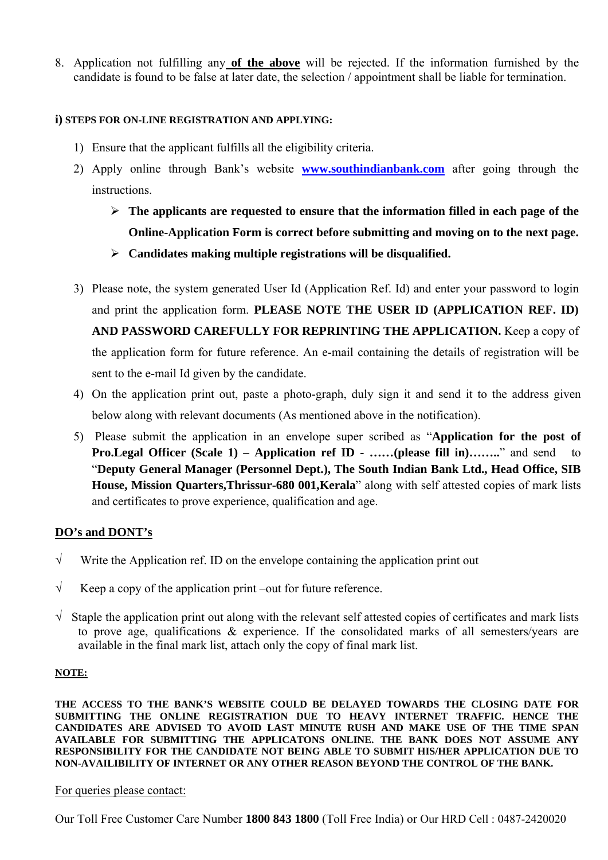8. Application not fulfilling any **of the above** will be rejected. If the information furnished by the candidate is found to be false at later date, the selection / appointment shall be liable for termination.

## **i) STEPS FOR ON-LINE REGISTRATION AND APPLYING:**

- 1) Ensure that the applicant fulfills all the eligibility criteria.
- 2) Apply online through Bank's website **www.southindianbank.com** after going through the instructions.
	- ¾ **The applicants are requested to ensure that the information filled in each page of the Online-Application Form is correct before submitting and moving on to the next page.**  ¾ **Candidates making multiple registrations will be disqualified.**
- 3) Please note, the system generated User Id (Application Ref. Id) and enter your password to login and print the application form. **PLEASE NOTE THE USER ID (APPLICATION REF. ID) AND PASSWORD CAREFULLY FOR REPRINTING THE APPLICATION.** Keep a copy of the application form for future reference. An e-mail containing the details of registration will be sent to the e-mail Id given by the candidate.
- 4) On the application print out, paste a photo-graph, duly sign it and send it to the address given below along with relevant documents (As mentioned above in the notification).
- 5) Please submit the application in an envelope super scribed as "**Application for the post of Pro.Legal Officer (Scale 1) – Application ref ID - ……(please fill in)…….**" and send to "**Deputy General Manager (Personnel Dept.), The South Indian Bank Ltd., Head Office, SIB House, Mission Quarters,Thrissur-680 001,Kerala**" along with self attested copies of mark lists and certificates to prove experience, qualification and age.

# **DO's and DONT's**

- $\sqrt{\phantom{a}}$  Write the Application ref. ID on the envelope containing the application print out
- $\sqrt{\phantom{a}}$  Keep a copy of the application print –out for future reference.
- $\sqrt{\frac{1}{10}}$  Staple the application print out along with the relevant self attested copies of certificates and mark lists to prove age, qualifications & experience. If the consolidated marks of all semesters/years are available in the final mark list, attach only the copy of final mark list.

#### **NOTE:**

**THE ACCESS TO THE BANK'S WEBSITE COULD BE DELAYED TOWARDS THE CLOSING DATE FOR SUBMITTING THE ONLINE REGISTRATION DUE TO HEAVY INTERNET TRAFFIC. HENCE THE CANDIDATES ARE ADVISED TO AVOID LAST MINUTE RUSH AND MAKE USE OF THE TIME SPAN AVAILABLE FOR SUBMITTING THE APPLICATONS ONLINE. THE BANK DOES NOT ASSUME ANY RESPONSIBILITY FOR THE CANDIDATE NOT BEING ABLE TO SUBMIT HIS/HER APPLICATION DUE TO NON-AVAILIBILITY OF INTERNET OR ANY OTHER REASON BEYOND THE CONTROL OF THE BANK.** 

For queries please contact:

Our Toll Free Customer Care Number **1800 843 1800** (Toll Free India) or Our HRD Cell : 0487-2420020